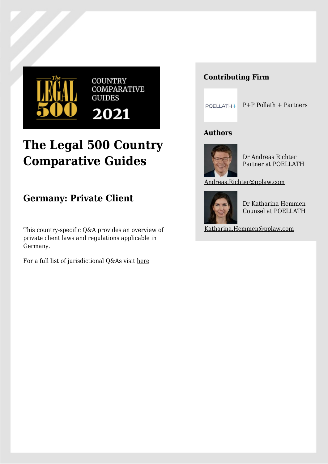

# **The Legal 500 Country Comparative Guides**

**Germany: Private Client**

This country-specific Q&A provides an overview of private client laws and regulations applicable in Germany.

For a full list of jurisdictional Q&As visit [here](https://www.legal500.com/guides/)

## **Contributing Firm**

 $POELLATH + P+P$  Pollath + Partners

## **Authors**



Dr Andreas Richter Partner at POELLATH

[Andreas.Richter@pplaw.com](mailto:Andreas.Richter@pplaw.com)



Dr Katharina Hemmen Counsel at POELLATH

[Katharina.Hemmen@pplaw.com](mailto:Katharina.Hemmen@pplaw.com)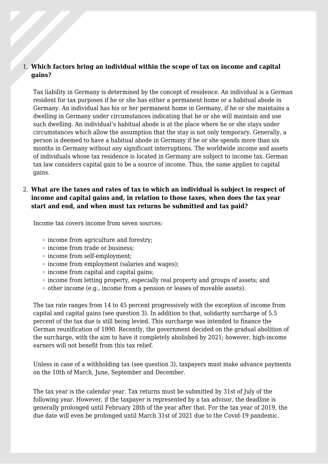#### 1. **Which factors bring an individual within the scope of tax on income and capital gains?**

Tax liability in Germany is determined by the concept of residence. An individual is a German resident for tax purposes if he or she has either a permanent home or a habitual abode in Germany. An individual has his or her permanent home in Germany, if he or she maintains a dwelling in Germany under circumstances indicating that he or she will maintain and use such dwelling. An individual's habitual abode is at the place where he or she stays under circumstances which allow the assumption that the stay is not only temporary. Generally, a person is deemed to have a habitual abode in Germany if he or she spends more than six months in Germany without any significant interruptions. The worldwide income and assets of individuals whose tax residence is located in Germany are subject to income tax. German tax law considers capital gain to be a source of income. Thus, the same applies to capital gains.

## 2. **What are the taxes and rates of tax to which an individual is subject in respect of income and capital gains and, in relation to those taxes, when does the tax year start and end, and when must tax returns be submitted and tax paid?**

Income tax covers income from seven sources:

- income from agriculture and forestry;
- income from trade or business;
- income from self-employment;
- $\circ$  income from employment (salaries and wages);
- $\circ$  income from capital and capital gains;
- income from letting property, especially real property and groups of assets; and
- $\circ$  other income (e.g., income from a pension or leases of movable assets).

The tax rate ranges from 14 to 45 percent progressively with the exception of income from capital and capital gains (see question 3). In addition to that, solidarity surcharge of 5.5 percent of the tax due is still being levied. This surcharge was intended to finance the German reunification of 1990. Recently, the government decided on the gradual abolition of the surcharge, with the aim to have it completely abolished by 2021; however, high-income earners will not benefit from this tax relief.

Unless in case of a withholding tax (see question 3), taxpayers must make advance payments on the 10th of March, June, September and December.

The tax year is the calendar year. Tax returns must be submitted by 31st of July of the following year. However, if the taxpayer is represented by a tax advisor, the deadline is generally prolonged until February 28th of the year after that. For the tax year of 2019, the due date will even be prolonged until March 31st of 2021 due to the Covid-19 pandemic.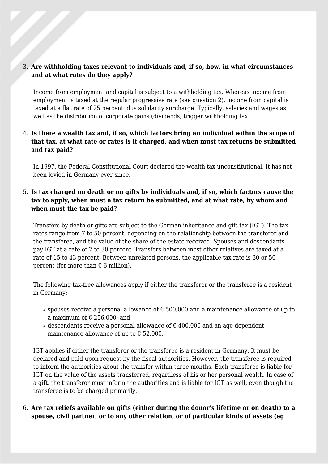#### 3. **Are withholding taxes relevant to individuals and, if so, how, in what circumstances and at what rates do they apply?**

Income from employment and capital is subject to a withholding tax. Whereas income from employment is taxed at the regular progressive rate (see question 2), income from capital is taxed at a flat rate of 25 percent plus solidarity surcharge. Typically, salaries and wages as well as the distribution of corporate gains (dividends) trigger withholding tax.

## 4. **Is there a wealth tax and, if so, which factors bring an individual within the scope of that tax, at what rate or rates is it charged, and when must tax returns be submitted and tax paid?**

In 1997, the Federal Constitutional Court declared the wealth tax unconstitutional. It has not been levied in Germany ever since.

## 5. **Is tax charged on death or on gifts by individuals and, if so, which factors cause the tax to apply, when must a tax return be submitted, and at what rate, by whom and when must the tax be paid?**

Transfers by death or gifts are subject to the German inheritance and gift tax (IGT). The tax rates range from 7 to 50 percent, depending on the relationship between the transferor and the transferee, and the value of the share of the estate received. Spouses and descendants pay IGT at a rate of 7 to 30 percent. Transfers between most other relatives are taxed at a rate of 15 to 43 percent. Between unrelated persons, the applicable tax rate is 30 or 50 percent (for more than  $\epsilon$  6 million).

The following tax-free allowances apply if either the transferor or the transferee is a resident in Germany:

- $\circ$  spouses receive a personal allowance of € 500,000 and a maintenance allowance of up to a maximum of  $\epsilon$  256,000; and
- $\circ$  descendants receive a personal allowance of  $\epsilon$  400,000 and an age-dependent maintenance allowance of up to  $\epsilon$  52,000.

IGT applies if either the transferor or the transferee is a resident in Germany. It must be declared and paid upon request by the fiscal authorities. However, the transferee is required to inform the authorities about the transfer within three months. Each transferee is liable for IGT on the value of the assets transferred, regardless of his or her personal wealth. In case of a gift, the transferor must inform the authorities and is liable for IGT as well, even though the transferee is to be charged primarily.

6. **Are tax reliefs available on gifts (either during the donor's lifetime or on death) to a spouse, civil partner, or to any other relation, or of particular kinds of assets (eg**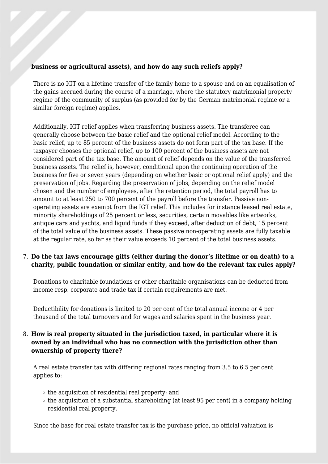#### **business or agricultural assets), and how do any such reliefs apply?**

There is no IGT on a lifetime transfer of the family home to a spouse and on an equalisation of the gains accrued during the course of a marriage, where the statutory matrimonial property regime of the community of surplus (as provided for by the German matrimonial regime or a similar foreign regime) applies.

Additionally, IGT relief applies when transferring business assets. The transferee can generally choose between the basic relief and the optional relief model. According to the basic relief, up to 85 percent of the business assets do not form part of the tax base. If the taxpayer chooses the optional relief, up to 100 percent of the business assets are not considered part of the tax base. The amount of relief depends on the value of the transferred business assets. The relief is, however, conditional upon the continuing operation of the business for five or seven years (depending on whether basic or optional relief apply) and the preservation of jobs. Regarding the preservation of jobs, depending on the relief model chosen and the number of employees, after the retention period, the total payroll has to amount to at least 250 to 700 percent of the payroll before the transfer. Passive nonoperating assets are exempt from the IGT relief. This includes for instance leased real estate, minority shareholdings of 25 percent or less, securities, certain movables like artworks, antique cars and yachts, and liquid funds if they exceed, after deduction of debt, 15 percent of the total value of the business assets. These passive non-operating assets are fully taxable at the regular rate, so far as their value exceeds 10 percent of the total business assets.

## 7. **Do the tax laws encourage gifts (either during the donor's lifetime or on death) to a charity, public foundation or similar entity, and how do the relevant tax rules apply?**

Donations to charitable foundations or other charitable organisations can be deducted from income resp. corporate and trade tax if certain requirements are met.

Deductibility for donations is limited to 20 per cent of the total annual income or 4 per thousand of the total turnovers and for wages and salaries spent in the business year.

## 8. **How is real property situated in the jurisdiction taxed, in particular where it is owned by an individual who has no connection with the jurisdiction other than ownership of property there?**

A real estate transfer tax with differing regional rates ranging from 3.5 to 6.5 per cent applies to:

- $\circ$  the acquisition of residential real property; and
- $\circ$  the acquisition of a substantial shareholding (at least 95 per cent) in a company holding residential real property.

Since the base for real estate transfer tax is the purchase price, no official valuation is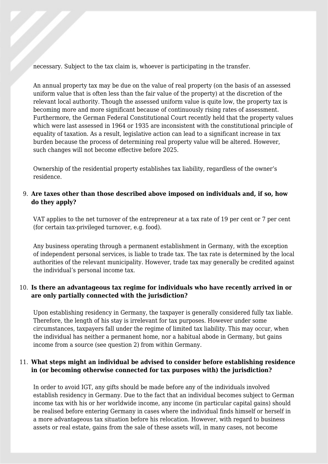necessary. Subject to the tax claim is, whoever is participating in the transfer.

An annual property tax may be due on the value of real property (on the basis of an assessed uniform value that is often less than the fair value of the property) at the discretion of the relevant local authority. Though the assessed uniform value is quite low, the property tax is becoming more and more significant because of continuously rising rates of assessment. Furthermore, the German Federal Constitutional Court recently held that the property values which were last assessed in 1964 or 1935 are inconsistent with the constitutional principle of equality of taxation. As a result, legislative action can lead to a significant increase in tax burden because the process of determining real property value will be altered. However, such changes will not become effective before 2025.

Ownership of the residential property establishes tax liability, regardless of the owner's residence.

## 9. **Are taxes other than those described above imposed on individuals and, if so, how do they apply?**

VAT applies to the net turnover of the entrepreneur at a tax rate of 19 per cent or 7 per cent (for certain tax-privileged turnover, e.g. food).

Any business operating through a permanent establishment in Germany, with the exception of independent personal services, is liable to trade tax. The tax rate is determined by the local authorities of the relevant municipality. However, trade tax may generally be credited against the individual's personal income tax.

## 10. **Is there an advantageous tax regime for individuals who have recently arrived in or are only partially connected with the jurisdiction?**

Upon establishing residency in Germany, the taxpayer is generally considered fully tax liable. Therefore, the length of his stay is irrelevant for tax purposes. However under some circumstances, taxpayers fall under the regime of limited tax liability. This may occur, when the individual has neither a permanent home, nor a habitual abode in Germany, but gains income from a source (see question 2) from within Germany.

## 11. **What steps might an individual be advised to consider before establishing residence in (or becoming otherwise connected for tax purposes with) the jurisdiction?**

In order to avoid IGT, any gifts should be made before any of the individuals involved establish residency in Germany. Due to the fact that an individual becomes subject to German income tax with his or her worldwide income, any income (in particular capital gains) should be realised before entering Germany in cases where the individual finds himself or herself in a more advantageous tax situation before his relocation. However, with regard to business assets or real estate, gains from the sale of these assets will, in many cases, not become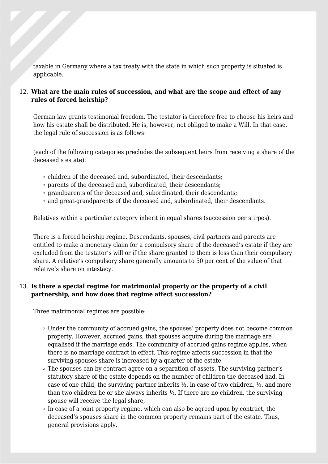taxable in Germany where a tax treaty with the state in which such property is situated is applicable.

#### 12. **What are the main rules of succession, and what are the scope and effect of any rules of forced heirship?**

German law grants testimonial freedom. The testator is therefore free to choose his heirs and how his estate shall be distributed. He is, however, not obliged to make a Will. In that case, the legal rule of succession is as follows:

(each of the following categories precludes the subsequent heirs from receiving a share of the deceased's estate):

- $\circ$  children of the deceased and, subordinated, their descendants;
- parents of the deceased and, subordinated, their descendants;
- $\circ$  grandparents of the deceased and, subordinated, their descendants;
- $\circ$  and great-grandparents of the deceased and, subordinated, their descendants.

Relatives within a particular category inherit in equal shares (succession per stirpes).

There is a forced heirship regime. Descendants, spouses, civil partners and parents are entitled to make a monetary claim for a compulsory share of the deceased's estate if they are excluded from the testator's will or if the share granted to them is less than their compulsory share. A relative's compulsory share generally amounts to 50 per cent of the value of that relative's share on intestacy.

#### 13. **Is there a special regime for matrimonial property or the property of a civil partnership, and how does that regime affect succession?**

Three matrimonial regimes are possible:

- Under the community of accrued gains, the spouses' property does not become common property. However, accrued gains, that spouses acquire during the marriage are equalised if the marriage ends. The community of accrued gains regime applies, when there is no marriage contract in effect. This regime affects succession in that the surviving spouses share is increased by a quarter of the estate.
- The spouses can by contract agree on a separation of assets. The surviving partner's statutory share of the estate depends on the number of children the deceased had. In case of one child, the surviving partner inherits ½, in case of two children, ⅓, and more than two children he or she always inherits  $\frac{1}{4}$ . If there are no children, the surviving spouse will receive the legal share,
- $\circ$  In case of a joint property regime, which can also be agreed upon by contract, the deceased's spouses share in the common property remains part of the estate. Thus, general provisions apply.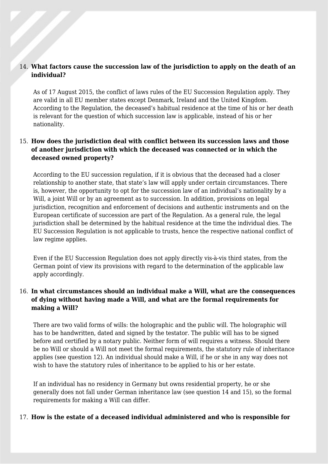#### 14. **What factors cause the succession law of the jurisdiction to apply on the death of an individual?**

As of 17 August 2015, the conflict of laws rules of the EU Succession Regulation apply. They are valid in all EU member states except Denmark, Ireland and the United Kingdom. According to the Regulation, the deceased's habitual residence at the time of his or her death is relevant for the question of which succession law is applicable, instead of his or her nationality.

## 15. **How does the jurisdiction deal with conflict between its succession laws and those of another jurisdiction with which the deceased was connected or in which the deceased owned property?**

According to the EU succession regulation, if it is obvious that the deceased had a closer relationship to another state, that state's law will apply under certain circumstances. There is, however, the opportunity to opt for the succession law of an individual's nationality by a Will, a joint Will or by an agreement as to succession. In addition, provisions on legal jurisdiction, recognition and enforcement of decisions and authentic instruments and on the European certificate of succession are part of the Regulation. As a general rule, the legal jurisdiction shall be determined by the habitual residence at the time the individual dies. The EU Succession Regulation is not applicable to trusts, hence the respective national conflict of law regime applies.

Even if the EU Succession Regulation does not apply directly vis-à-vis third states, from the German point of view its provisions with regard to the determination of the applicable law apply accordingly.

## 16. **In what circumstances should an individual make a Will, what are the consequences of dying without having made a Will, and what are the formal requirements for making a Will?**

There are two valid forms of wills: the holographic and the public will. The holographic will has to be handwritten, dated and signed by the testator. The public will has to be signed before and certified by a notary public. Neither form of will requires a witness. Should there be no Will or should a Will not meet the formal requirements, the statutory rule of inheritance applies (see question 12). An individual should make a Will, if he or she in any way does not wish to have the statutory rules of inheritance to be applied to his or her estate.

If an individual has no residency in Germany but owns residential property, he or she generally does not fall under German inheritance law (see question 14 and 15), so the formal requirements for making a Will can differ.

#### 17. **How is the estate of a deceased individual administered and who is responsible for**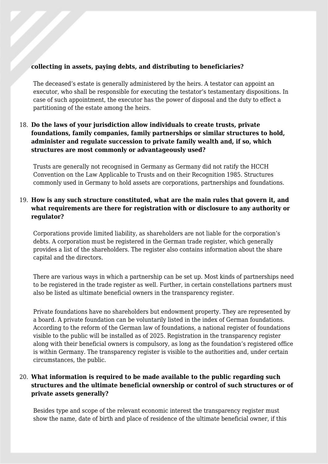#### **collecting in assets, paying debts, and distributing to beneficiaries?**

The deceased's estate is generally administered by the heirs. A testator can appoint an executor, who shall be responsible for executing the testator's testamentary dispositions. In case of such appointment, the executor has the power of disposal and the duty to effect a partitioning of the estate among the heirs.

## 18. **Do the laws of your jurisdiction allow individuals to create trusts, private foundations, family companies, family partnerships or similar structures to hold, administer and regulate succession to private family wealth and, if so, which structures are most commonly or advantageously used?**

Trusts are generally not recognised in Germany as Germany did not ratify the HCCH Convention on the Law Applicable to Trusts and on their Recognition 1985. Structures commonly used in Germany to hold assets are corporations, partnerships and foundations.

## 19. **How is any such structure constituted, what are the main rules that govern it, and what requirements are there for registration with or disclosure to any authority or regulator?**

Corporations provide limited liability, as shareholders are not liable for the corporation's debts. A corporation must be registered in the German trade register, which generally provides a list of the shareholders. The register also contains information about the share capital and the directors.

There are various ways in which a partnership can be set up. Most kinds of partnerships need to be registered in the trade register as well. Further, in certain constellations partners must also be listed as ultimate beneficial owners in the transparency register.

Private foundations have no shareholders but endowment property. They are represented by a board. A private foundation can be voluntarily listed in the index of German foundations. According to the reform of the German law of foundations, a national register of foundations visible to the public will be installed as of 2025. Registration in the transparency register along with their beneficial owners is compulsory, as long as the foundation's registered office is within Germany. The transparency register is visible to the authorities and, under certain circumstances, the public.

## 20. **What information is required to be made available to the public regarding such structures and the ultimate beneficial ownership or control of such structures or of private assets generally?**

Besides type and scope of the relevant economic interest the transparency register must show the name, date of birth and place of residence of the ultimate beneficial owner, if this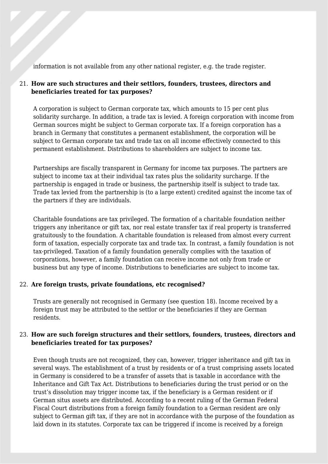information is not available from any other national register, e.g. the trade register.

## 21. **How are such structures and their settlors, founders, trustees, directors and beneficiaries treated for tax purposes?**

A corporation is subject to German corporate tax, which amounts to 15 per cent plus solidarity surcharge. In addition, a trade tax is levied. A foreign corporation with income from German sources might be subject to German corporate tax. If a foreign corporation has a branch in Germany that constitutes a permanent establishment, the corporation will be subject to German corporate tax and trade tax on all income effectively connected to this permanent establishment. Distributions to shareholders are subject to income tax.

Partnerships are fiscally transparent in Germany for income tax purposes. The partners are subject to income tax at their individual tax rates plus the solidarity surcharge. If the partnership is engaged in trade or business, the partnership itself is subject to trade tax. Trade tax levied from the partnership is (to a large extent) credited against the income tax of the partners if they are individuals.

Charitable foundations are tax privileged. The formation of a charitable foundation neither triggers any inheritance or gift tax, nor real estate transfer tax if real property is transferred gratuitously to the foundation. A charitable foundation is released from almost every current form of taxation, especially corporate tax and trade tax. In contrast, a family foundation is not tax-privileged. Taxation of a family foundation generally complies with the taxation of corporations, however, a family foundation can receive income not only from trade or business but any type of income. Distributions to beneficiaries are subject to income tax.

#### 22. **Are foreign trusts, private foundations, etc recognised?**

Trusts are generally not recognised in Germany (see question 18). Income received by a foreign trust may be attributed to the settlor or the beneficiaries if they are German residents.

## 23. **How are such foreign structures and their settlors, founders, trustees, directors and beneficiaries treated for tax purposes?**

Even though trusts are not recognized, they can, however, trigger inheritance and gift tax in several ways. The establishment of a trust by residents or of a trust comprising assets located in Germany is considered to be a transfer of assets that is taxable in accordance with the Inheritance and Gift Tax Act. Distributions to beneficiaries during the trust period or on the trust's dissolution may trigger income tax, if the beneficiary is a German resident or if German situs assets are distributed. According to a recent ruling of the German Federal Fiscal Court distributions from a foreign family foundation to a German resident are only subject to German gift tax, if they are not in accordance with the purpose of the foundation as laid down in its statutes. Corporate tax can be triggered if income is received by a foreign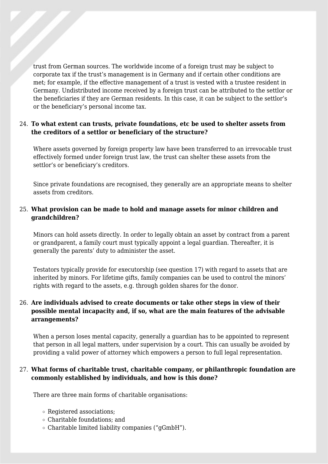trust from German sources. The worldwide income of a foreign trust may be subject to corporate tax if the trust's management is in Germany and if certain other conditions are met; for example, if the effective management of a trust is vested with a trustee resident in Germany. Undistributed income received by a foreign trust can be attributed to the settlor or the beneficiaries if they are German residents. In this case, it can be subject to the settlor's or the beneficiary's personal income tax.

#### 24. **To what extent can trusts, private foundations, etc be used to shelter assets from the creditors of a settlor or beneficiary of the structure?**

Where assets governed by foreign property law have been transferred to an irrevocable trust effectively formed under foreign trust law, the trust can shelter these assets from the settlor's or beneficiary's creditors.

Since private foundations are recognised, they generally are an appropriate means to shelter assets from creditors.

## 25. **What provision can be made to hold and manage assets for minor children and grandchildren?**

Minors can hold assets directly. In order to legally obtain an asset by contract from a parent or grandparent, a family court must typically appoint a legal guardian. Thereafter, it is generally the parents' duty to administer the asset.

Testators typically provide for executorship (see question 17) with regard to assets that are inherited by minors. For lifetime gifts, family companies can be used to control the minors' rights with regard to the assets, e.g. through golden shares for the donor.

## 26. **Are individuals advised to create documents or take other steps in view of their possible mental incapacity and, if so, what are the main features of the advisable arrangements?**

When a person loses mental capacity, generally a guardian has to be appointed to represent that person in all legal matters, under supervision by a court. This can usually be avoided by providing a valid power of attorney which empowers a person to full legal representation.

## 27. **What forms of charitable trust, charitable company, or philanthropic foundation are commonly established by individuals, and how is this done?**

There are three main forms of charitable organisations:

- Registered associations;
- Charitable foundations; and
- $\circ$  Charitable limited liability companies ("gGmbH").